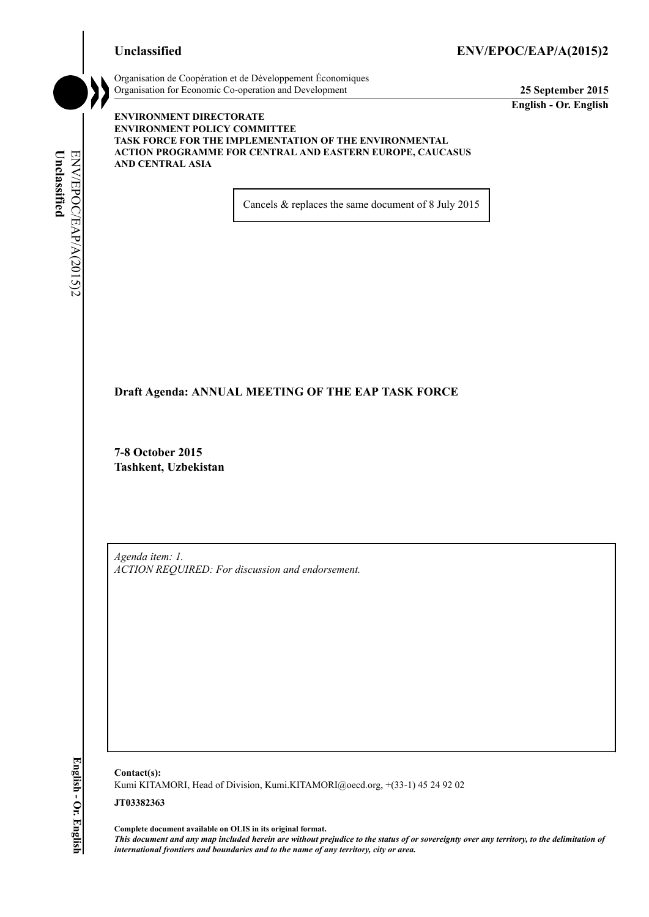# **Unclassified ENV/EPOC/EAP/A(2015)2**

Organisation de Coopération et de Développement Économiques Organisation for Economic Co-operation and Development **25 September 2015**

**English - Or. English**

### **ENVIRONMENT DIRECTORATE ENVIRONMENT POLICY COMMITTEE TASK FORCE FOR THE IMPLEMENTATION OF THE ENVIRONMENTAL ACTION PROGRAMME FOR CENTRAL AND EASTERN EUROPE, CAUCASUS AND CENTRAL ASIA**

Cancels & replaces the same document of 8 July 2015

**Draft Agenda: ANNUAL MEETING OF THE EAP TASK FORCE**

**7-8 October 2015 Tashkent, Uzbekistan**

*Agenda item: 1. ACTION REQUIRED: For discussion and endorsement.*

English - Or. English **English - Or. English**

**Contact(s):** 

Kumi KITAMORI, Head of Division, Kumi.KITAMORI@oecd.org, +(33-1) 45 24 92 02

#### **JT03382363**

**Complete document available on OLIS in its original format.** *This document and any map included herein are without prejudice to the status of or sovereignty over any territory, to the delimitation of international frontiers and boundaries and to the name of any territory, city or area.*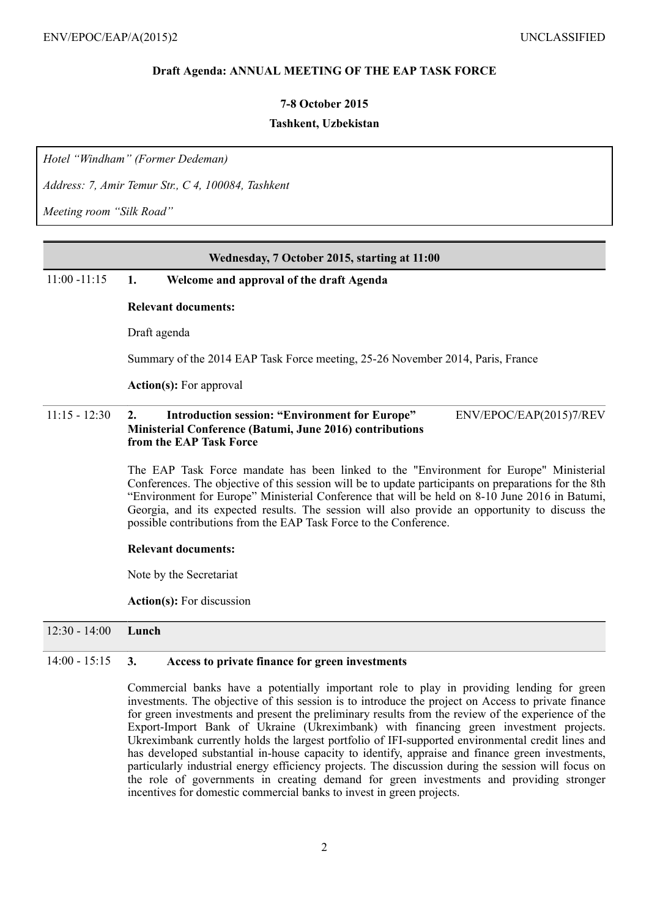#### **Draft Agenda: ANNUAL MEETING OF THE EAP TASK FORCE**

#### **7-8 October 2015**

#### **Tashkent, Uzbekistan**

*Hotel "Windham" (Former Dedeman)*

*Address: 7, Amir Temur Str., C 4, 100084, Tashkent*

*Meeting room "Silk Road"*

# **Wednesday, 7 October 2015, starting at 11:00**

11:00 -11:15 **1. Welcome and approval of the draft Agenda**

#### **Relevant documents:**

Draft agenda

Summary of the 2014 EAP Task Force meeting, 25-26 November 2014, Paris, France

**Action(s):** For approval

#### 11:15 - 12:30 **2. Introduction session: "Environment for Europe" Ministerial Conference (Batumi, June 2016) contributions from the EAP Task Force** ENV/EPOC/EAP(2015)7/REV

The EAP Task Force mandate has been linked to the "Environment for Europe" Ministerial Conferences. The objective of this session will be to update participants on preparations for the 8th "Environment for Europe" Ministerial Conference that will be held on 8-10 June 2016 in Batumi, Georgia, and its expected results. The session will also provide an opportunity to discuss the possible contributions from the EAP Task Force to the Conference.

#### **Relevant documents:**

Note by the Secretariat

**Action(s):** For discussion

# 12:30 - 14:00 **Lunch**

### 14:00 - 15:15 **3. Access to private finance for green investments**

Commercial banks have a potentially important role to play in providing lending for green investments. The objective of this session is to introduce the project on Access to private finance for green investments and present the preliminary results from the review of the experience of the Export-Import Bank of Ukraine (Ukreximbank) with financing green investment projects. Ukreximbank currently holds the largest portfolio of IFI-supported environmental credit lines and has developed substantial in-house capacity to identify, appraise and finance green investments, particularly industrial energy efficiency projects. The discussion during the session will focus on the role of governments in creating demand for green investments and providing stronger incentives for domestic commercial banks to invest in green projects.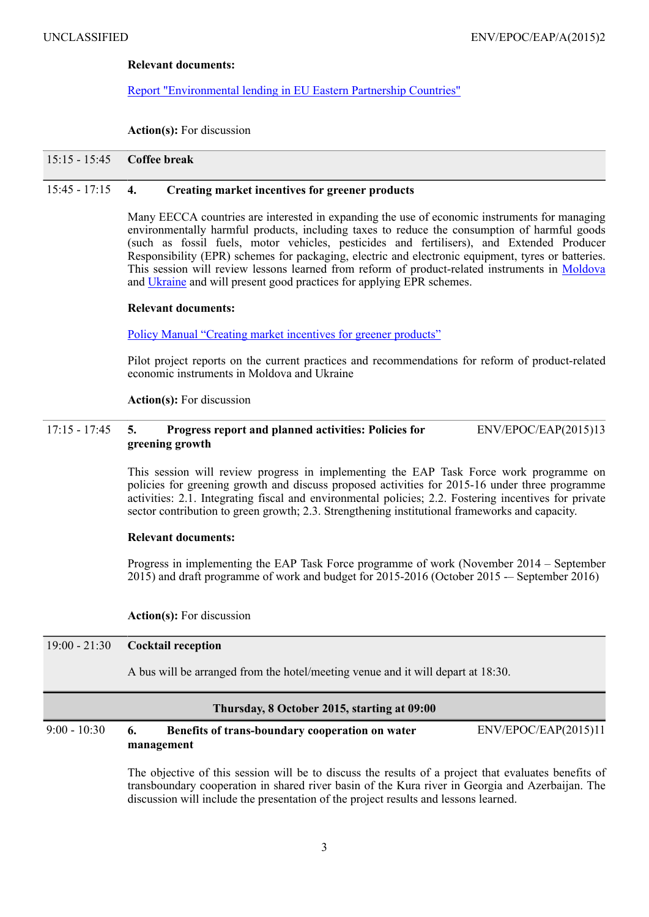#### **Relevant documents:**

[Report "Environmental lending in EU Eastern Partnership Countries"](http://www.oecd.org/env/outreach/Binder_final%20report_environmental%20lending_update%20Oct2014.pdf)

### **Action(s):** For discussion

### 15:15 - 15:45 **Coffee break**

# 15:45 - 17:15 **4. Creating market incentives for greener products**

Many EECCA countries are interested in expanding the use of economic instruments for managing environmentally harmful products, including taxes to reduce the consumption of harmful goods (such as fossil fuels, motor vehicles, pesticides and fertilisers), and Extended Producer Responsibility (EPR) schemes for packaging, electric and electronic equipment, tyres or batteries. This session will review lessons learned from reform of product-related instruments in [Moldova](http://www.oecd.org/environment/outreach/EI-country-pilot-Moldova-en.pdf) and [Ukraine](http://www.oecd.org/environment/outreach/EI-country-pilot-report-Ukraine-en.pdf) and will present good practices for applying EPR schemes.

#### **Relevant documents:**

[Policy Manual "Creating market incentives for greener products"](http://www.oecd.org/env/outreach/EN_Policy%20Manual_Creating%20Market%20Incentives%20for%20Greener%20Products_16%20September.pdf)

Pilot project reports on the current practices and recommendations for reform of product-related economic instruments in Moldova and Ukraine

#### **Action(s):** For discussion

#### 17:15 - 17:45 **5. Progress report and planned activities: Policies for greening growth** ENV/EPOC/EAP(2015)13

This session will review progress in implementing the EAP Task Force work programme on policies for greening growth and discuss proposed activities for 2015-16 under three programme activities: 2.1. Integrating fiscal and environmental policies; 2.2. Fostering incentives for private sector contribution to green growth; 2.3. Strengthening institutional frameworks and capacity.

#### **Relevant documents:**

Progress in implementing the EAP Task Force programme of work (November 2014 – September 2015) and draft programme of work and budget for 2015-2016 (October 2015 -– September 2016)

**Action(s):** For discussion

### 19:00 - 21:30 **Cocktail reception**

A bus will be arranged from the hotel/meeting venue and it will depart at 18:30.

### **Thursday, 8 October 2015, starting at 09:00**

#### 9:00 - 10:30 **6. Benefits of trans-boundary cooperation on water management** ENV/EPOC/EAP(2015)11

The objective of this session will be to discuss the results of a project that evaluates benefits of transboundary cooperation in shared river basin of the Kura river in Georgia and Azerbaijan. The discussion will include the presentation of the project results and lessons learned.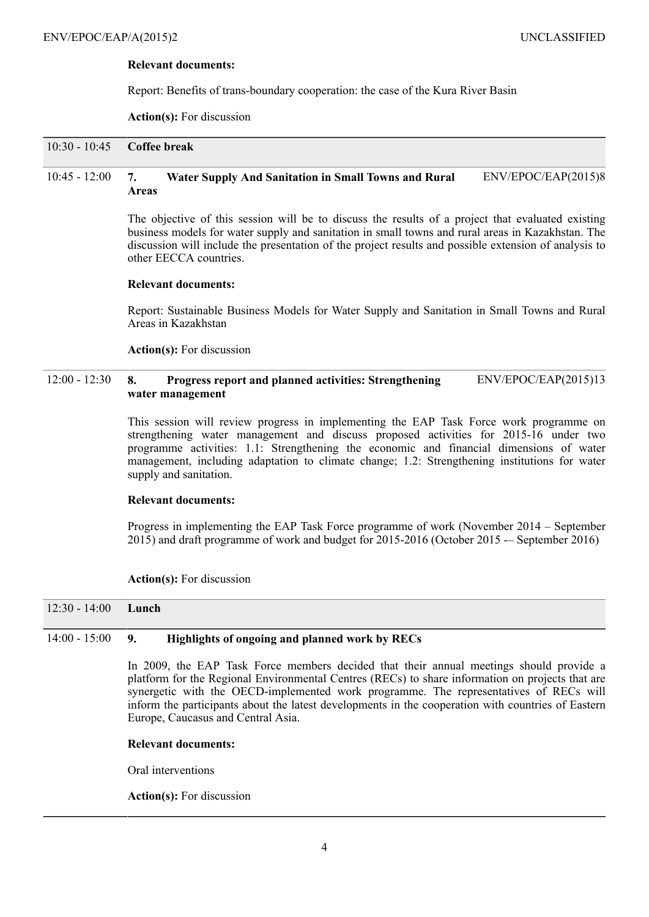### **Relevant documents:**

Report: Benefits of trans-boundary cooperation: the case of the Kura River Basin

**Action(s):** For discussion

# 10:30 - 10:45 **Coffee break**

#### 10:45 - 12:00 **7. Water Supply And Sanitation in Small Towns and Rural Areas** ENV/EPOC/EAP(2015)8

The objective of this session will be to discuss the results of a project that evaluated existing business models for water supply and sanitation in small towns and rural areas in Kazakhstan. The discussion will include the presentation of the project results and possible extension of analysis to other EECCA countries.

### **Relevant documents:**

Report: Sustainable Business Models for Water Supply and Sanitation in Small Towns and Rural Areas in Kazakhstan

**Action(s):** For discussion

#### 12:00 - 12:30 **8. Progress report and planned activities: Strengthening water management** ENV/EPOC/EAP(2015)13

This session will review progress in implementing the EAP Task Force work programme on strengthening water management and discuss proposed activities for 2015-16 under two programme activities: 1.1: Strengthening the economic and financial dimensions of water management, including adaptation to climate change; 1.2: Strengthening institutions for water supply and sanitation.

### **Relevant documents:**

Progress in implementing the EAP Task Force programme of work (November 2014 – September 2015) and draft programme of work and budget for 2015-2016 (October 2015 -– September 2016)

**Action(s):** For discussion

# 12:30 - 14:00 **Lunch**

### 14:00 - 15:00 **9. Highlights of ongoing and planned work by RECs**

In 2009, the EAP Task Force members decided that their annual meetings should provide a platform for the Regional Environmental Centres (RECs) to share information on projects that are synergetic with the OECD-implemented work programme. The representatives of RECs will inform the participants about the latest developments in the cooperation with countries of Eastern Europe, Caucasus and Central Asia.

### **Relevant documents:**

Oral interventions

**Action(s):** For discussion